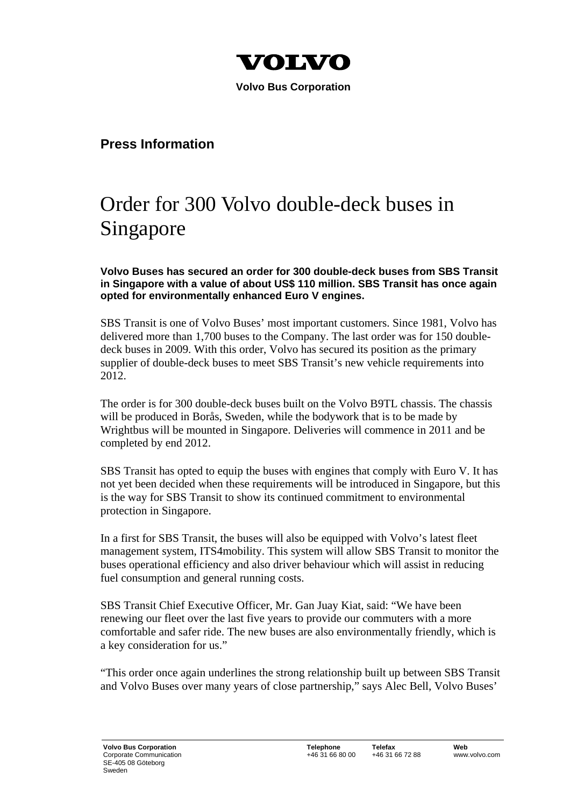

 **Volvo Bus Corporation** 

## **Press Information**

## Order for 300 Volvo double-deck buses in Singapore

**Volvo Buses has secured an order for 300 double-deck buses from SBS Transit in Singapore with a value of about US\$ 110 million. SBS Transit has once again opted for environmentally enhanced Euro V engines.** 

SBS Transit is one of Volvo Buses' most important customers. Since 1981, Volvo has delivered more than 1,700 buses to the Company. The last order was for 150 doubledeck buses in 2009. With this order, Volvo has secured its position as the primary supplier of double-deck buses to meet SBS Transit's new vehicle requirements into 2012.

The order is for 300 double-deck buses built on the Volvo B9TL chassis. The chassis will be produced in Borås, Sweden, while the bodywork that is to be made by Wrightbus will be mounted in Singapore. Deliveries will commence in 2011 and be completed by end 2012.

SBS Transit has opted to equip the buses with engines that comply with Euro V. It has not yet been decided when these requirements will be introduced in Singapore, but this is the way for SBS Transit to show its continued commitment to environmental protection in Singapore.

In a first for SBS Transit, the buses will also be equipped with Volvo's latest fleet management system, ITS4mobility. This system will allow SBS Transit to monitor the buses operational efficiency and also driver behaviour which will assist in reducing fuel consumption and general running costs.

SBS Transit Chief Executive Officer, Mr. Gan Juay Kiat, said: "We have been renewing our fleet over the last five years to provide our commuters with a more comfortable and safer ride. The new buses are also environmentally friendly, which is a key consideration for us."

"This order once again underlines the strong relationship built up between SBS Transit and Volvo Buses over many years of close partnership," says Alec Bell, Volvo Buses'